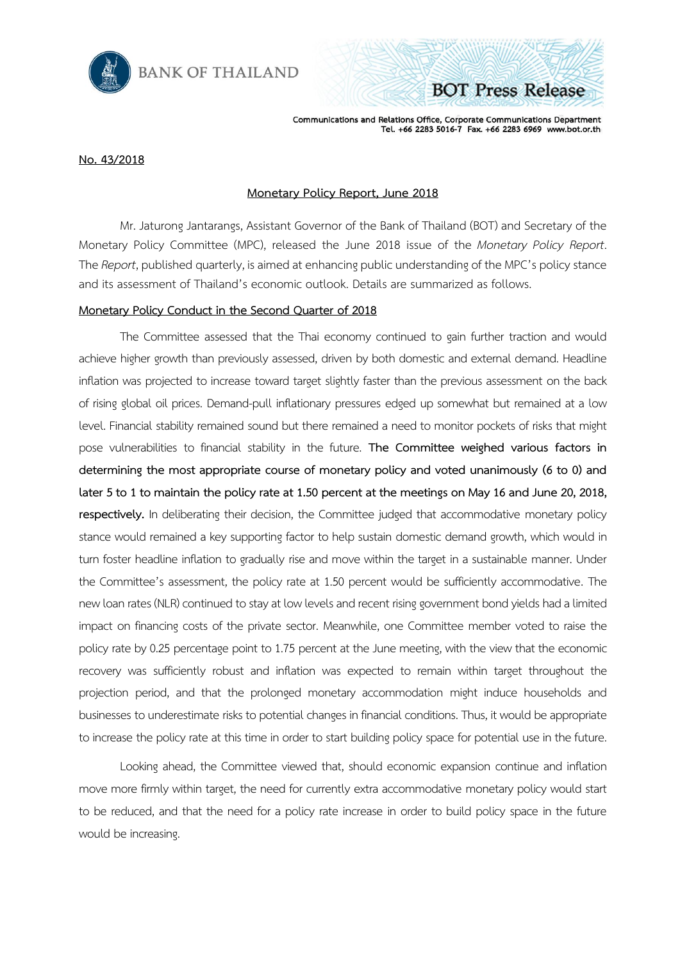

Communications and Relations Office, Corporate Communications Department Tel. +66 2283 5016-7 Fax. +66 2283 6969 www.bot.or.th

**BOT Press Release** 

## **No. 43/2018**

## **Monetary Policy Report, June 2018**

Mr. Jaturong Jantarangs, Assistant Governor of the Bank of Thailand (BOT) and Secretary of the Monetary Policy Committee (MPC), released the June 2018 issue of the *Monetary Policy Report*. The *Report*, published quarterly, is aimed at enhancing public understanding of the MPC's policy stance and its assessment of Thailand's economic outlook. Details are summarized as follows.

### **Monetary Policy Conduct in the Second Quarter of 2018**

The Committee assessed that the Thai economy continued to gain further traction and would achieve higher growth than previously assessed, driven by both domestic and external demand. Headline inflation was projected to increase toward target slightly faster than the previous assessment on the back of rising global oil prices. Demand-pull inflationary pressures edged up somewhat but remained at a low level. Financial stability remained sound but there remained a need to monitor pockets of risks that might pose vulnerabilities to financial stability in the future. **The Committee weighed various factors in determining the most appropriate course of monetary policy and voted unanimously (6 to 0) and later 5 to 1 to maintain the policy rate at 1.50 percent at the meetings on May 16 and June 20, 2018, respectively.** In deliberating their decision, the Committee judged that accommodative monetary policy stance would remained a key supporting factor to help sustain domestic demand growth, which would in turn foster headline inflation to gradually rise and move within the target in a sustainable manner. Under the Committee's assessment, the policy rate at 1.50 percent would be sufficiently accommodative. The new loan rates (NLR) continued to stay at low levels and recent rising government bond yields had a limited impact on financing costs of the private sector. Meanwhile, one Committee member voted to raise the policy rate by 0.25 percentage point to 1.75 percent at the June meeting, with the view that the economic recovery was sufficiently robust and inflation was expected to remain within target throughout the projection period, and that the prolonged monetary accommodation might induce households and businesses to underestimate risks to potential changes in financial conditions. Thus, it would be appropriate to increase the policy rate at this time in order to start building policy space for potential use in the future.

Looking ahead, the Committee viewed that, should economic expansion continue and inflation move more firmly within target, the need for currently extra accommodative monetary policy would start to be reduced, and that the need for a policy rate increase in order to build policy space in the future would be increasing.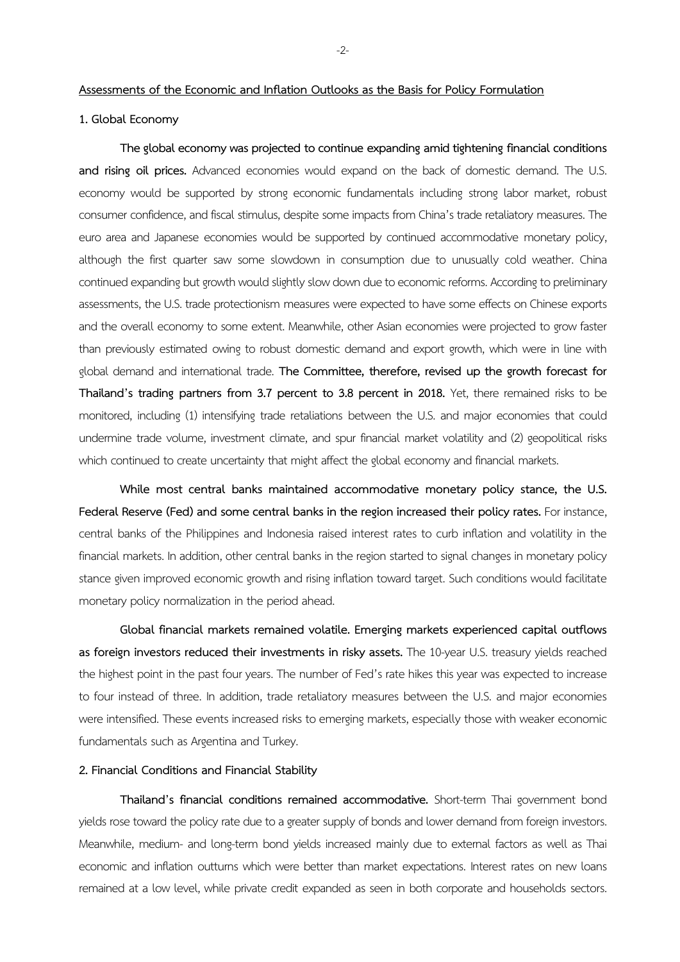#### **Assessments of the Economic and Inflation Outlooks as the Basis for Policy Formulation**

# **1. Global Economy**

**The global economy was projected to continue expanding amid tightening financial conditions**  and rising oil prices. Advanced economies would expand on the back of domestic demand. The U.S. economy would be supported by strong economic fundamentals including strong labor market, robust consumer confidence, and fiscal stimulus, despite some impacts from China's trade retaliatory measures. The euro area and Japanese economies would be supported by continued accommodative monetary policy, although the first quarter saw some slowdown in consumption due to unusually cold weather. China continued expanding but growth would slightly slow down due to economic reforms. According to preliminary assessments, the U.S. trade protectionism measures were expected to have some effects on Chinese exports and the overall economy to some extent. Meanwhile, other Asian economies were projected to grow faster than previously estimated owing to robust domestic demand and export growth, which were in line with global demand and international trade. **The Committee, therefore, revised up the growth forecast for Thailand's trading partners from 3.7 percent to 3.8 percent in 2018.** Yet, there remained risks to be monitored, including (1) intensifying trade retaliations between the U.S. and major economies that could undermine trade volume, investment climate, and spur financial market volatility and (2) geopolitical risks which continued to create uncertainty that might affect the global economy and financial markets.

**While most central banks maintained accommodative monetary policy stance, the U.S. Federal Reserve (Fed) and some central banks in the region increased their policy rates.** For instance, central banks of the Philippines and Indonesia raised interest rates to curb inflation and volatility in the financial markets. In addition, other central banks in the region started to signal changes in monetary policy stance given improved economic growth and rising inflation toward target. Such conditions would facilitate monetary policy normalization in the period ahead.

**Global financial markets remained volatile. Emerging markets experienced capital outflows as foreign investors reduced their investments in risky assets.** The 10-year U.S. treasury yields reached the highest point in the past four years. The number of Fed's rate hikes this year was expected to increase to four instead of three. In addition, trade retaliatory measures between the U.S. and major economies were intensified. These events increased risks to emerging markets, especially those with weaker economic fundamentals such as Argentina and Turkey.

## **2. Financial Conditions and Financial Stability**

**Thailand's financial conditions remained accommodative.** Short-term Thai government bond yields rose toward the policy rate due to a greater supply of bonds and lower demand from foreign investors. Meanwhile, medium- and long-term bond yields increased mainly due to external factors as well as Thai economic and inflation outturns which were better than market expectations. Interest rates on new loans remained at a low level, while private credit expanded as seen in both corporate and households sectors.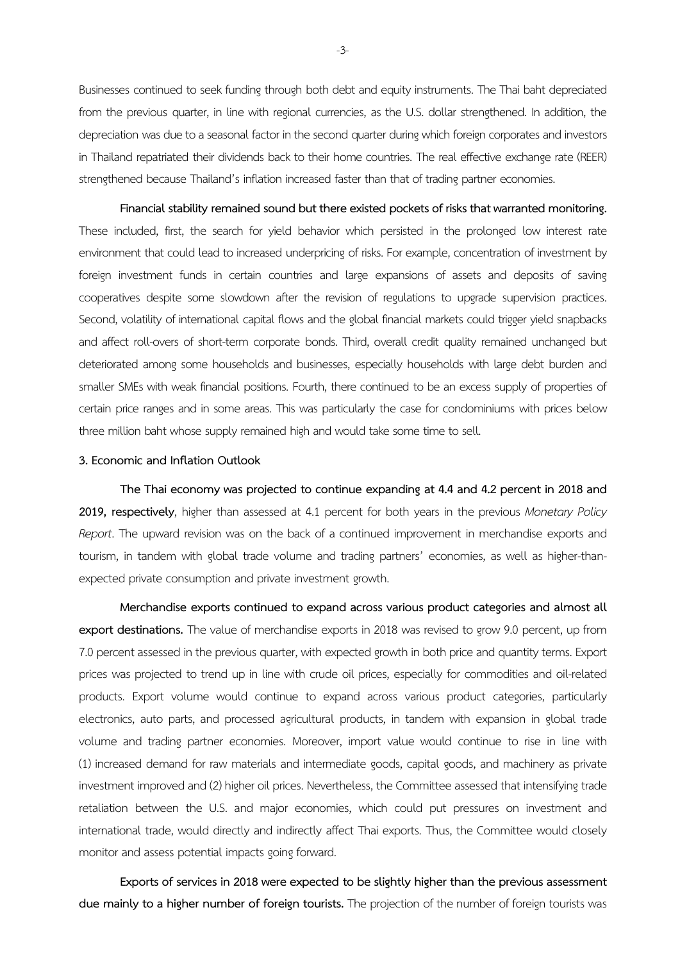Businesses continued to seek funding through both debt and equity instruments. The Thai baht depreciated from the previous quarter, in line with regional currencies, as the U.S. dollar strengthened. In addition, the depreciation was due to a seasonal factor in the second quarter during which foreign corporates and investors in Thailand repatriated their dividends back to their home countries. The real effective exchange rate (REER) strengthened because Thailand's inflation increased faster than that of trading partner economies.

**Financial stability remained sound but there existed pockets of risks that warranted monitoring.** These included, first, the search for yield behavior which persisted in the prolonged low interest rate environment that could lead to increased underpricing of risks. For example, concentration of investment by foreign investment funds in certain countries and large expansions of assets and deposits of saving cooperatives despite some slowdown after the revision of regulations to upgrade supervision practices. Second, volatility of international capital flows and the global financial markets could trigger yield snapbacks and affect roll-overs of short-term corporate bonds. Third, overall credit quality remained unchanged but deteriorated among some households and businesses, especially households with large debt burden and smaller SMEs with weak financial positions. Fourth, there continued to be an excess supply of properties of certain price ranges and in some areas. This was particularly the case for condominiums with prices below three million baht whose supply remained high and would take some time to sell.

## **3. Economic and Inflation Outlook**

**The Thai economy was projected to continue expanding at 4.4 and 4.2 percent in 2018 and 2019, respectively**, higher than assessed at 4.1 percent for both years in the previous *Monetary Policy Report*. The upward revision was on the back of a continued improvement in merchandise exports and tourism, in tandem with global trade volume and trading partners' economies, as well as higher-thanexpected private consumption and private investment growth.

**Merchandise exports continued to expand across various product categories and almost all export destinations.** The value of merchandise exports in 2018 was revised to grow 9.0 percent, up from 7.0 percent assessed in the previous quarter, with expected growth in both price and quantity terms. Export prices was projected to trend up in line with crude oil prices, especially for commodities and oil-related products. Export volume would continue to expand across various product categories, particularly electronics, auto parts, and processed agricultural products, in tandem with expansion in global trade volume and trading partner economies. Moreover, import value would continue to rise in line with (1) increased demand for raw materials and intermediate goods, capital goods, and machinery as private investment improved and (2) higher oil prices. Nevertheless, the Committee assessed that intensifying trade retaliation between the U.S. and major economies, which could put pressures on investment and international trade, would directly and indirectly affect Thai exports. Thus, the Committee would closely monitor and assess potential impacts going forward.

**Exports of services in 2018 were expected to be slightly higher than the previous assessment due mainly to a higher number of foreign tourists.** The projection of the number of foreign tourists was

-3-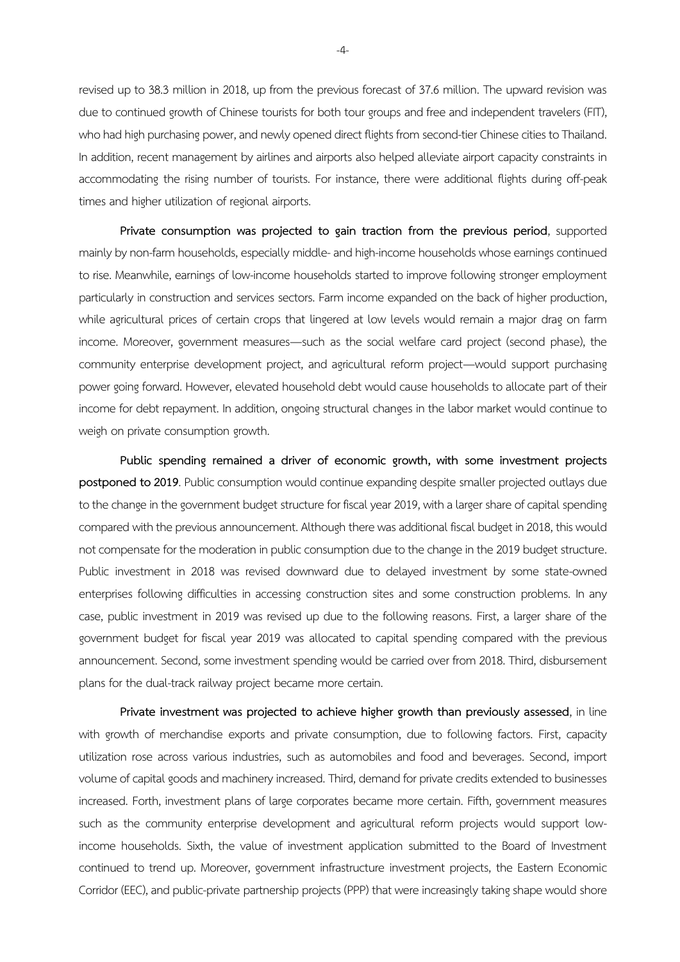revised up to 38.3 million in 2018, up from the previous forecast of 37.6 million. The upward revision was due to continued growth of Chinese tourists for both tour groups and free and independent travelers (FIT), who had high purchasing power, and newly opened direct flights from second-tier Chinese cities to Thailand. In addition, recent management by airlines and airports also helped alleviate airport capacity constraints in accommodating the rising number of tourists. For instance, there were additional flights during off-peak times and higher utilization of regional airports.

**Private consumption was projected to gain traction from the previous period**, supported mainly by non-farm households, especially middle-and high-income households whose earnings continued to rise. Meanwhile, earnings of low-income households started to improve following stronger employment particularly in construction and services sectors. Farm income expanded on the back of higher production, while agricultural prices of certain crops that lingered at low levels would remain a major drag on farm income. Moreover, government measures—such as the social welfare card project (second phase), the community enterprise development project, and agricultural reform project—would support purchasing power going forward. However, elevated household debt would cause households to allocate part of their income for debt repayment. In addition, ongoing structural changes in the labor market would continue to weigh on private consumption growth.

**Public spending remained a driver of economic growth, with some investment projects postponed to 2019**. Public consumption would continue expanding despite smaller projected outlays due to the change in the government budget structure for fiscal year 2019, with a larger share of capital spending compared with the previous announcement. Although there was additional fiscal budget in 2018, this would not compensate for the moderation in public consumption due to the change in the 2019 budget structure. Public investment in 2018 was revised downward due to delayed investment by some state-owned enterprises following difficulties in accessing construction sites and some construction problems. In any case, public investment in 2019 was revised up due to the following reasons. First, a larger share of the government budget for fiscal year 2019 was allocated to capital spending compared with the previous announcement. Second, some investment spending would be carried over from 2018. Third, disbursement plans for the dual-track railway project became more certain.

**Private investment was projected to achieve higher growth than previously assessed**, in line with growth of merchandise exports and private consumption, due to following factors. First, capacity utilization rose across various industries, such as automobiles and food and beverages. Second, import volume of capital goods and machinery increased. Third, demand for private credits extended to businesses increased. Forth, investment plans of large corporates became more certain. Fifth, government measures such as the community enterprise development and agricultural reform projects would support lowincome households. Sixth, the value of investment application submitted to the Board of Investment continued to trend up. Moreover, government infrastructure investment projects, the Eastern Economic Corridor (EEC), and public-private partnership projects (PPP) that were increasingly taking shape would shore